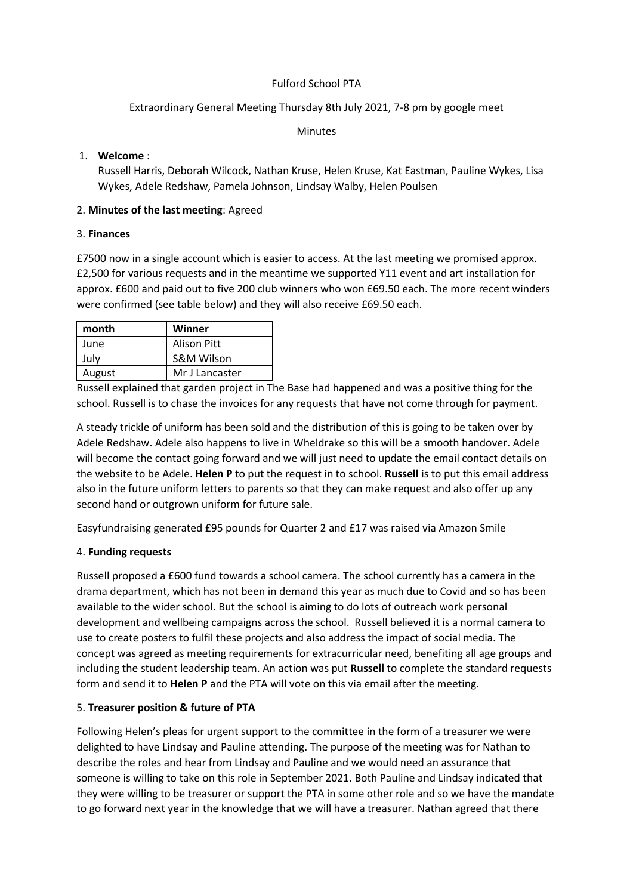### Fulford School PTA

# Extraordinary General Meeting Thursday 8th July 2021, 7-8 pm by google meet

Minutes

## 1. **Welcome** :

Russell Harris, Deborah Wilcock, Nathan Kruse, Helen Kruse, Kat Eastman, Pauline Wykes, Lisa Wykes, Adele Redshaw, Pamela Johnson, Lindsay Walby, Helen Poulsen

### 2. **Minutes of the last meeting**: Agreed

### 3. **Finances**

£7500 now in a single account which is easier to access. At the last meeting we promised approx. £2,500 for various requests and in the meantime we supported Y11 event and art installation for approx. £600 and paid out to five 200 club winners who won £69.50 each. The more recent winders were confirmed (see table below) and they will also receive £69.50 each.

| month  | Winner                |
|--------|-----------------------|
| June   | Alison Pitt           |
| July   | <b>S&amp;M Wilson</b> |
| August | Mr J Lancaster        |

Russell explained that garden project in The Base had happened and was a positive thing for the school. Russell is to chase the invoices for any requests that have not come through for payment.

A steady trickle of uniform has been sold and the distribution of this is going to be taken over by Adele Redshaw. Adele also happens to live in Wheldrake so this will be a smooth handover. Adele will become the contact going forward and we will just need to update the email contact details on the website to be Adele. **Helen P** to put the request in to school. **Russell** is to put this email address also in the future uniform letters to parents so that they can make request and also offer up any second hand or outgrown uniform for future sale.

Easyfundraising generated £95 pounds for Quarter 2 and £17 was raised via Amazon Smile

## 4. **Funding requests**

Russell proposed a £600 fund towards a school camera. The school currently has a camera in the drama department, which has not been in demand this year as much due to Covid and so has been available to the wider school. But the school is aiming to do lots of outreach work personal development and wellbeing campaigns across the school. Russell believed it is a normal camera to use to create posters to fulfil these projects and also address the impact of social media. The concept was agreed as meeting requirements for extracurricular need, benefiting all age groups and including the student leadership team. An action was put **Russell** to complete the standard requests form and send it to **Helen P** and the PTA will vote on this via email after the meeting.

## 5. **Treasurer position & future of PTA**

Following Helen's pleas for urgent support to the committee in the form of a treasurer we were delighted to have Lindsay and Pauline attending. The purpose of the meeting was for Nathan to describe the roles and hear from Lindsay and Pauline and we would need an assurance that someone is willing to take on this role in September 2021. Both Pauline and Lindsay indicated that they were willing to be treasurer or support the PTA in some other role and so we have the mandate to go forward next year in the knowledge that we will have a treasurer. Nathan agreed that there